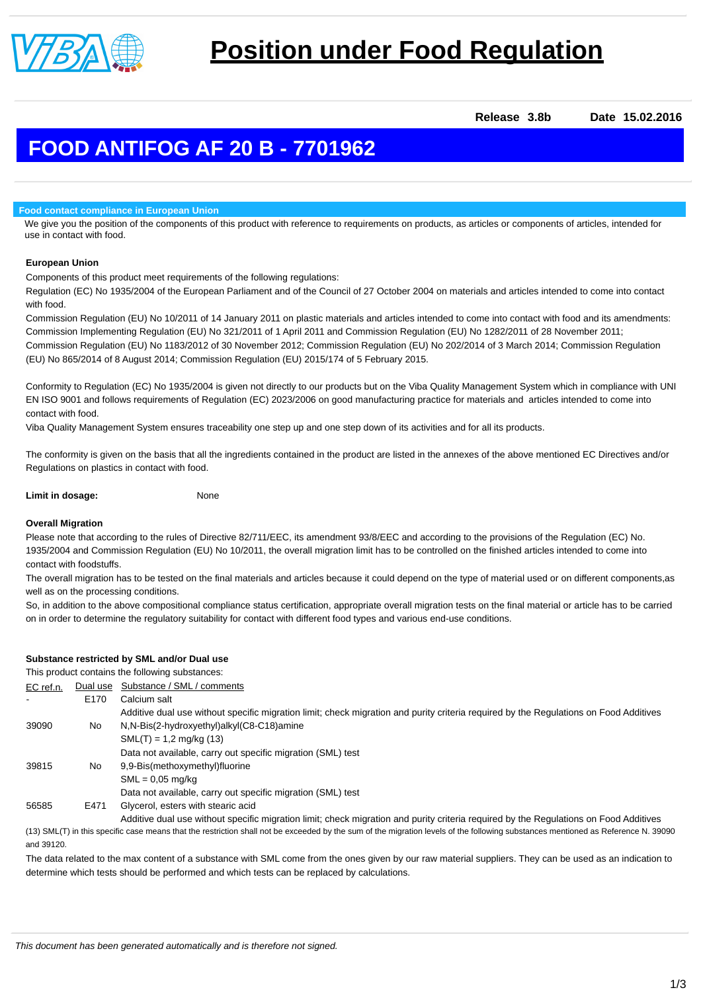

**Release 3.8b Date 15.02.2016**

# **FOOD ANTIFOG AF 20 B - 7701962**

### **Food contact compliance in European Union**

We give you the position of the components of this product with reference to requirements on products, as articles or components of articles, intended for use in contact with food.

# **European Union**

Components of this product meet requirements of the following regulations:

Regulation (EC) No 1935/2004 of the European Parliament and of the Council of 27 October 2004 on materials and articles intended to come into contact with food.

Commission Regulation (EU) No 10/2011 of 14 January 2011 on plastic materials and articles intended to come into contact with food and its amendments: Commission Implementing Regulation (EU) No 321/2011 of 1 April 2011 and Commission Regulation (EU) No 1282/2011 of 28 November 2011; Commission Regulation (EU) No 1183/2012 of 30 November 2012; Commission Regulation (EU) No 202/2014 of 3 March 2014; Commission Regulation (EU) No 865/2014 of 8 August 2014; Commission Regulation (EU) 2015/174 of 5 February 2015.

Conformity to Regulation (EC) No 1935/2004 is given not directly to our products but on the Viba Quality Management System which in compliance with UNI EN ISO 9001 and follows requirements of Regulation (EC) 2023/2006 on good manufacturing practice for materials and articles intended to come into contact with food.

Viba Quality Management System ensures traceability one step up and one step down of its activities and for all its products.

The conformity is given on the basis that all the ingredients contained in the product are listed in the annexes of the above mentioned EC Directives and/or Regulations on plastics in contact with food.

| Limit in dosage: | None |
|------------------|------|
|                  |      |

# **Overall Migration**

Please note that according to the rules of Directive 82/711/EEC, its amendment 93/8/EEC and according to the provisions of the Regulation (EC) No. 1935/2004 and Commission Regulation (EU) No 10/2011, the overall migration limit has to be controlled on the finished articles intended to come into contact with foodstuffs.

The overall migration has to be tested on the final materials and articles because it could depend on the type of material used or on different components,as well as on the processing conditions.

So, in addition to the above compositional compliance status certification, appropriate overall migration tests on the final material or article has to be carried on in order to determine the regulatory suitability for contact with different food types and various end-use conditions.

# **Substance restricted by SML and/or Dual use**

This product contains the following substances:

| EC ref.n. | Dual use         | Substance / SML / comments                                                                                                            |
|-----------|------------------|---------------------------------------------------------------------------------------------------------------------------------------|
|           | E <sub>170</sub> | Calcium salt                                                                                                                          |
|           |                  | Additive dual use without specific migration limit; check migration and purity criteria required by the Regulations on Food Additives |
| 39090     | No               | N,N-Bis(2-hydroxyethyl)alkyl(C8-C18)amine                                                                                             |
|           |                  | $SML(T) = 1.2$ mg/kg (13)                                                                                                             |
|           |                  | Data not available, carry out specific migration (SML) test                                                                           |
| 39815     | No.              | 9.9-Bis(methoxymethyl)fluorine                                                                                                        |
|           |                  | $SML = 0.05$ mg/kg                                                                                                                    |
|           |                  | Data not available, carry out specific migration (SML) test                                                                           |
| 56585     | E471             | Glycerol, esters with stearic acid                                                                                                    |
|           |                  | Additive dual use without specific migration limit; check migration and purity criteria required by the Regulations on Food Additives |

(13) SML(T) in this specific case means that the restriction shall not be exceeded by the sum of the migration levels of the following substances mentioned as Reference N. 39090 and 39120.

The data related to the max content of a substance with SML come from the ones given by our raw material suppliers. They can be used as an indication to determine which tests should be performed and which tests can be replaced by calculations.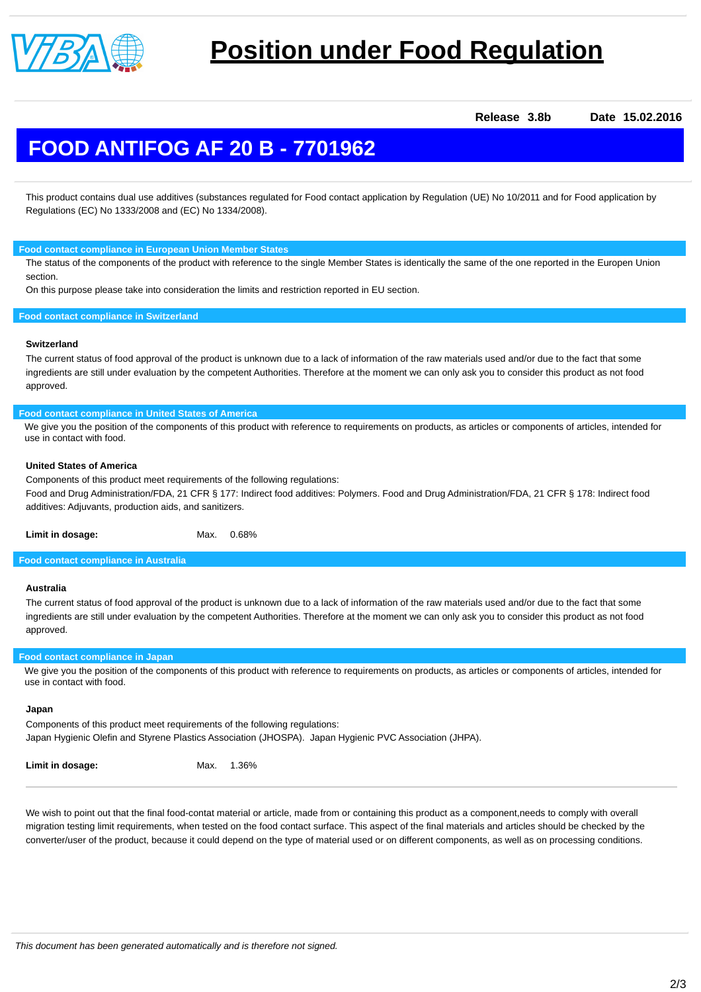

# **Position under Food Regulation**

**Release 3.8b Date 15.02.2016**

# **FOOD ANTIFOG AF 20 B - 7701962**

This product contains dual use additives (substances regulated for Food contact application by Regulation (UE) No 10/2011 and for Food application by Regulations (EC) No 1333/2008 and (EC) No 1334/2008).

**Food contact compliance in European Union Member States**

The status of the components of the product with reference to the single Member States is identically the same of the one reported in the Europen Union section.

On this purpose please take into consideration the limits and restriction reported in EU section.

#### **Food contact compliance in Switzerland**

#### **Switzerland**

The current status of food approval of the product is unknown due to a lack of information of the raw materials used and/or due to the fact that some ingredients are still under evaluation by the competent Authorities. Therefore at the moment we can only ask you to consider this product as not food approved.

#### **Food contact compliance in United States of America**

We give you the position of the components of this product with reference to requirements on products, as articles or components of articles, intended for use in contact with food.

#### **United States of America**

Components of this product meet requirements of the following regulations:

Food and Drug Administration/FDA, 21 CFR § 177: Indirect food additives: Polymers. Food and Drug Administration/FDA, 21 CFR § 178: Indirect food additives: Adjuvants, production aids, and sanitizers.

Limit in dosage: Max. 0.68%

### **Food contact compliance in Australia**

# **Australia**

The current status of food approval of the product is unknown due to a lack of information of the raw materials used and/or due to the fact that some ingredients are still under evaluation by the competent Authorities. Therefore at the moment we can only ask you to consider this product as not food approved.

# **Food contact compliance in Japan**

We give you the position of the components of this product with reference to requirements on products, as articles or components of articles, intended for use in contact with food.

#### **Japan**

Components of this product meet requirements of the following regulations: Japan Hygienic Olefin and Styrene Plastics Association (JHOSPA). Japan Hygienic PVC Association (JHPA).

We wish to point out that the final food-contat material or article, made from or containing this product as a component,needs to comply with overall migration testing limit requirements, when tested on the food contact surface. This aspect of the final materials and articles should be checked by the converter/user of the product, because it could depend on the type of material used or on different components, as well as on processing conditions.